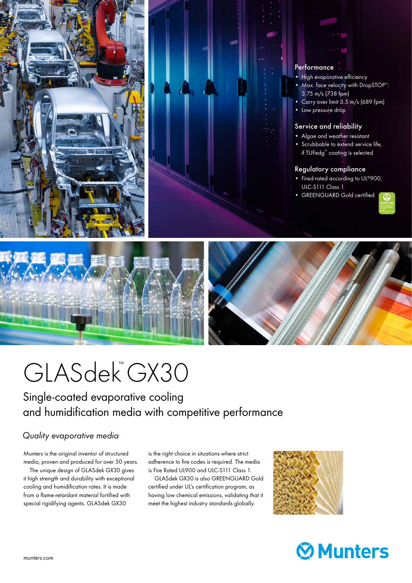

## **Performance**

- High evaporative efficiency
- Max. face velocity with DropSTOP™: 3.75 m/s (738 fpm)
- Carry over limit 3.5 m/s (689 fpm)
- Low pressure drop

#### Service and reliability

- Algae and weather resistant
- Scrubbable to extend service life, if TUFedg™ coating is selected

#### Regulatory compliance

- Fired-rated according to UL®900, ULC-S111 Class 1
- GREENGUARD Gold certified





# GLASdek®GX30

Single-coated evaporative cooling and humidification media with competitive performance

## *Quality evaporative media*

Munters is the original inventor of structured media, proven and produced for over 50 years.

 The unique design of GLASdek GX30 gives it high strength and durability with exceptional cooling and humidification rates. It is made from a flame-retardant material fortified with special rigidifying agents. GLASdek GX30

is the right choice in situations where strict adherence to fire codes is required. The media is Fire Rated UL900 and ULC-S111 Class 1.

 GLASdek GX30 is also GREENGUARD Gold certified under UL's certification program, as having low chemical emissions, validating that it meet the highest industry standards globally.



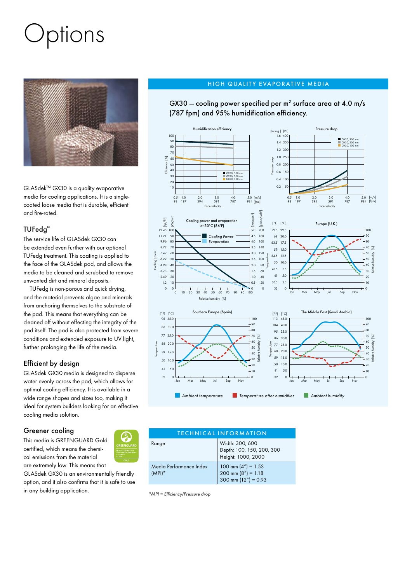# )ptions



GLASdek<sup>™</sup> GX30 is a quality evaporative media for cooling applications. It is a singlecoated loose media that is durable, efficient and fire-rated.

### TUFedg™

The service life of GLASdek GX30 can be extended even further with our optional TUFedg treatment. This coating is applied to the face of the GLASdek pad, and allows the media to be cleaned and scrubbed to remove unwanted dirt and mineral deposits.

 TUFedg is non-porous and quick drying, and the material prevents algae and minerals from anchoring themselves to the substrate of the pad. This means that everything can be cleaned off without effecting the integrity of the pad itself. The pad is also protected from severe conditions and extended exposure to UV light, further prolonging the life of the media.

### Efficient by design

GLASdek GX30 media is designed to disperse water evenly across the pad, which allows for optimal cooling efficiency. It is available in a wide range shapes and sizes too, making it ideal for system builders looking for an effective cooling media solution.

### Greener cooling

This media is GREENGUARD Gold certified, which means the chemical emissions from the material are extremely low. This means that

GLASdek GX30 is an environmentally friendly option, and it also confirms that it is safe to use in any building application.

#### HIGH QUALITY EVAPORATIVE MEDIA

GX30 – cooling power specified per  $m^2$  surface area at 4.0 m/s (787 fpm) and 95% humidification efficiency.





*\*MPI = Efficiency/Pressure drop*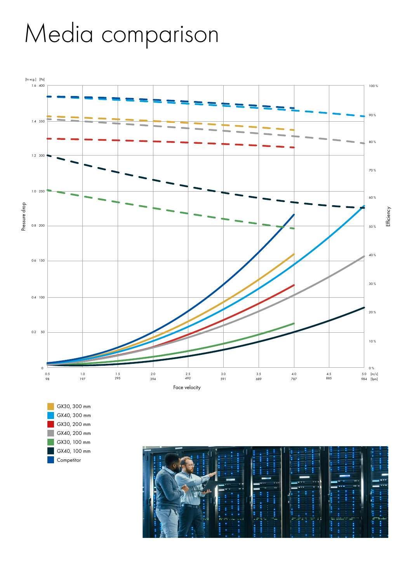# Media comparison



 GX30, 300 mm GX40, 300 mm GX30, 200 mm GX40, 200 mm GX30, 100 mm GX40, 100 mm **Competitor**